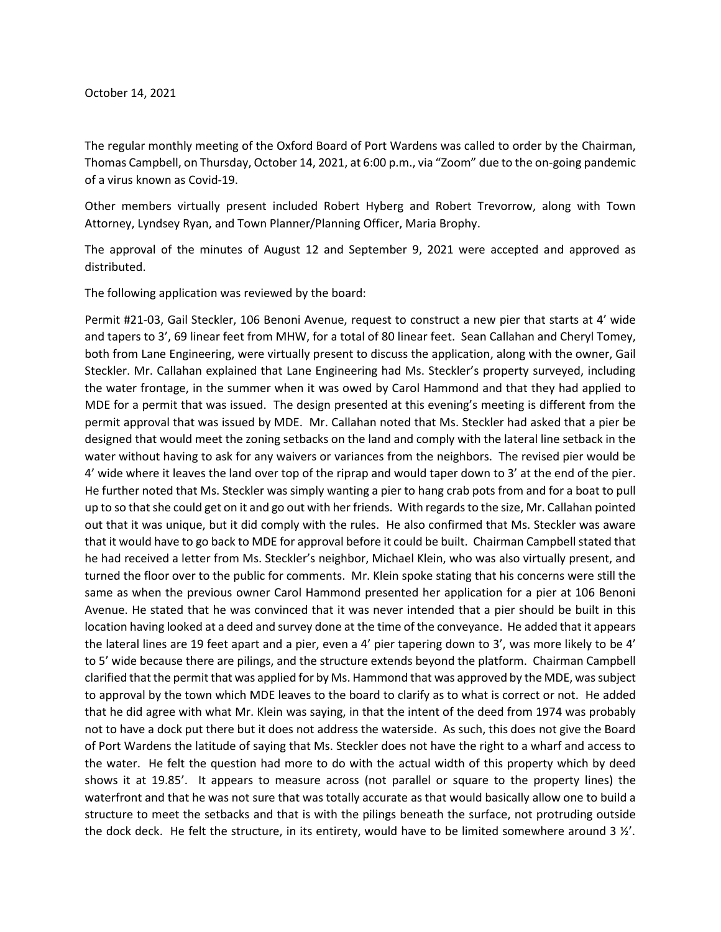## October 14, 2021

The regular monthly meeting of the Oxford Board of Port Wardens was called to order by the Chairman, Thomas Campbell, on Thursday, October 14, 2021, at 6:00 p.m., via "Zoom" due to the on-going pandemic of a virus known as Covid-19.

Other members virtually present included Robert Hyberg and Robert Trevorrow, along with Town Attorney, Lyndsey Ryan, and Town Planner/Planning Officer, Maria Brophy.

The approval of the minutes of August 12 and September 9, 2021 were accepted and approved as distributed.

The following application was reviewed by the board:

Permit #21-03, Gail Steckler, 106 Benoni Avenue, request to construct a new pier that starts at 4' wide and tapers to 3', 69 linear feet from MHW, for a total of 80 linear feet. Sean Callahan and Cheryl Tomey, both from Lane Engineering, were virtually present to discuss the application, along with the owner, Gail Steckler. Mr. Callahan explained that Lane Engineering had Ms. Steckler's property surveyed, including the water frontage, in the summer when it was owed by Carol Hammond and that they had applied to MDE for a permit that was issued. The design presented at this evening's meeting is different from the permit approval that was issued by MDE. Mr. Callahan noted that Ms. Steckler had asked that a pier be designed that would meet the zoning setbacks on the land and comply with the lateral line setback in the water without having to ask for any waivers or variances from the neighbors. The revised pier would be 4' wide where it leaves the land over top of the riprap and would taper down to 3' at the end of the pier. He further noted that Ms. Steckler was simply wanting a pier to hang crab pots from and for a boat to pull up to so that she could get on it and go out with her friends. With regards to the size, Mr. Callahan pointed out that it was unique, but it did comply with the rules. He also confirmed that Ms. Steckler was aware that it would have to go back to MDE for approval before it could be built. Chairman Campbell stated that he had received a letter from Ms. Steckler's neighbor, Michael Klein, who was also virtually present, and turned the floor over to the public for comments. Mr. Klein spoke stating that his concerns were still the same as when the previous owner Carol Hammond presented her application for a pier at 106 Benoni Avenue. He stated that he was convinced that it was never intended that a pier should be built in this location having looked at a deed and survey done at the time of the conveyance. He added that it appears the lateral lines are 19 feet apart and a pier, even a 4' pier tapering down to 3', was more likely to be 4' to 5' wide because there are pilings, and the structure extends beyond the platform. Chairman Campbell clarified that the permit that was applied for by Ms. Hammond that was approved by the MDE, wassubject to approval by the town which MDE leaves to the board to clarify as to what is correct or not. He added that he did agree with what Mr. Klein was saying, in that the intent of the deed from 1974 was probably not to have a dock put there but it does not address the waterside. As such, this does not give the Board of Port Wardens the latitude of saying that Ms. Steckler does not have the right to a wharf and access to the water. He felt the question had more to do with the actual width of this property which by deed shows it at 19.85'. It appears to measure across (not parallel or square to the property lines) the waterfront and that he was not sure that was totally accurate as that would basically allow one to build a structure to meet the setbacks and that is with the pilings beneath the surface, not protruding outside the dock deck. He felt the structure, in its entirety, would have to be limited somewhere around 3  $\frac{y}{\cdot}$ .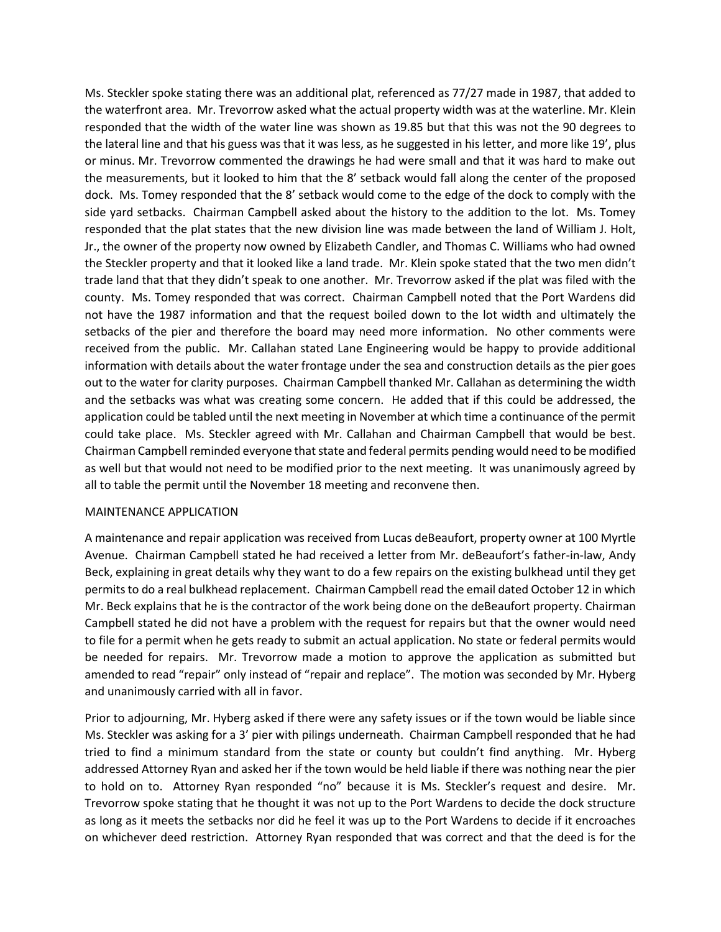Ms. Steckler spoke stating there was an additional plat, referenced as 77/27 made in 1987, that added to the waterfront area. Mr. Trevorrow asked what the actual property width was at the waterline. Mr. Klein responded that the width of the water line was shown as 19.85 but that this was not the 90 degrees to the lateral line and that his guess was that it was less, as he suggested in his letter, and more like 19', plus or minus. Mr. Trevorrow commented the drawings he had were small and that it was hard to make out the measurements, but it looked to him that the 8' setback would fall along the center of the proposed dock. Ms. Tomey responded that the 8' setback would come to the edge of the dock to comply with the side yard setbacks. Chairman Campbell asked about the history to the addition to the lot. Ms. Tomey responded that the plat states that the new division line was made between the land of William J. Holt, Jr., the owner of the property now owned by Elizabeth Candler, and Thomas C. Williams who had owned the Steckler property and that it looked like a land trade. Mr. Klein spoke stated that the two men didn't trade land that that they didn't speak to one another. Mr. Trevorrow asked if the plat was filed with the county. Ms. Tomey responded that was correct. Chairman Campbell noted that the Port Wardens did not have the 1987 information and that the request boiled down to the lot width and ultimately the setbacks of the pier and therefore the board may need more information. No other comments were received from the public. Mr. Callahan stated Lane Engineering would be happy to provide additional information with details about the water frontage under the sea and construction details as the pier goes out to the water for clarity purposes. Chairman Campbell thanked Mr. Callahan as determining the width and the setbacks was what was creating some concern. He added that if this could be addressed, the application could be tabled until the next meeting in November at which time a continuance of the permit could take place. Ms. Steckler agreed with Mr. Callahan and Chairman Campbell that would be best. Chairman Campbell reminded everyone that state and federal permits pending would need to be modified as well but that would not need to be modified prior to the next meeting. It was unanimously agreed by all to table the permit until the November 18 meeting and reconvene then.

## MAINTENANCE APPLICATION

A maintenance and repair application was received from Lucas deBeaufort, property owner at 100 Myrtle Avenue. Chairman Campbell stated he had received a letter from Mr. deBeaufort's father-in-law, Andy Beck, explaining in great details why they want to do a few repairs on the existing bulkhead until they get permits to do a real bulkhead replacement. Chairman Campbell read the email dated October 12 in which Mr. Beck explains that he is the contractor of the work being done on the deBeaufort property. Chairman Campbell stated he did not have a problem with the request for repairs but that the owner would need to file for a permit when he gets ready to submit an actual application. No state or federal permits would be needed for repairs. Mr. Trevorrow made a motion to approve the application as submitted but amended to read "repair" only instead of "repair and replace". The motion was seconded by Mr. Hyberg and unanimously carried with all in favor.

Prior to adjourning, Mr. Hyberg asked if there were any safety issues or if the town would be liable since Ms. Steckler was asking for a 3' pier with pilings underneath. Chairman Campbell responded that he had tried to find a minimum standard from the state or county but couldn't find anything. Mr. Hyberg addressed Attorney Ryan and asked her if the town would be held liable if there was nothing near the pier to hold on to. Attorney Ryan responded "no" because it is Ms. Steckler's request and desire. Mr. Trevorrow spoke stating that he thought it was not up to the Port Wardens to decide the dock structure as long as it meets the setbacks nor did he feel it was up to the Port Wardens to decide if it encroaches on whichever deed restriction. Attorney Ryan responded that was correct and that the deed is for the